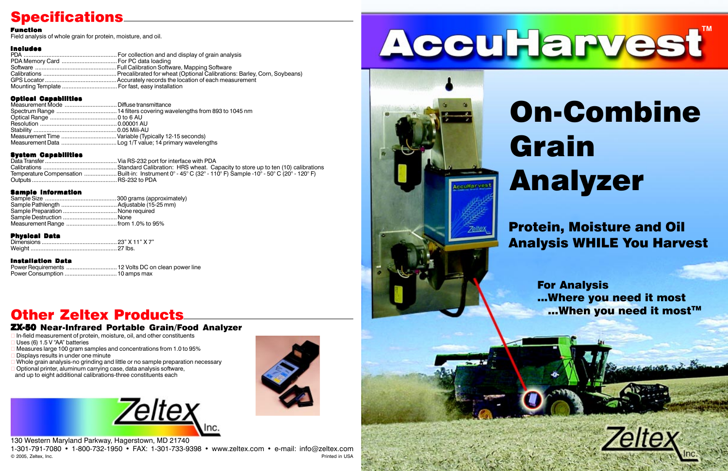130 Western Maryland Parkway, Hagerstown, MD 21740 1-301-791-7080 • 1-800-732-1950 • FAX: 1-301-733-9398 • www.zeltex.com • e-mail: info@zeltex.com © 2005, Zeltex, Inc. Printed in USA

 In-field measurement of protein, moisture, oil, and other constituents Uses (6)  $1.5$  V "AA" batteries

 Measures large 100 gram samples and concentrations from 1.0 to 95% Displays results in under one minute

Whole grain analysis-no grinding and little or no sample preparation necessary

- Optional printer, aluminum carrying case, data analysis software,
- and up to eight additional calibrations-three constituents each



# **Specifications**

### Function

Field analysis of whole grain for protein, moisture, and oil.

### Includes

### Optical Capabilities

For Analysis ...Where you need it most ...When you need it most™



### System Capabilities

Data Transfer............................................Via RS-232 port for interface with PDA Calibrations .............................................Standard Calibration: HRS wheat. Capacity to store up to ten (10) calibrations Temperature Compensation ....................Built-in: Instrument 0° - 45° C (32° - 110° F) Sample -10° - 50° C (20° - 120° F) Outputs ....................................................RS-232 to PDA

### Sample Information

| Sample Preparation  None required   |
|-------------------------------------|
|                                     |
| Measurement Range  from 1.0% to 95% |

### Physical Data

### Installation Data

Power Requirements ...............................12 Volts DC on clean power line Power Consumption ................................10 amps max

# Other Zeltex Products

### ZX-50 Near-Infrared Portable Grain/Food Analyzer

# On-Combine Grain Analyzer

# Protein, Moisture and Oil Analysis WHILE You Harvest



**cerHarvest**